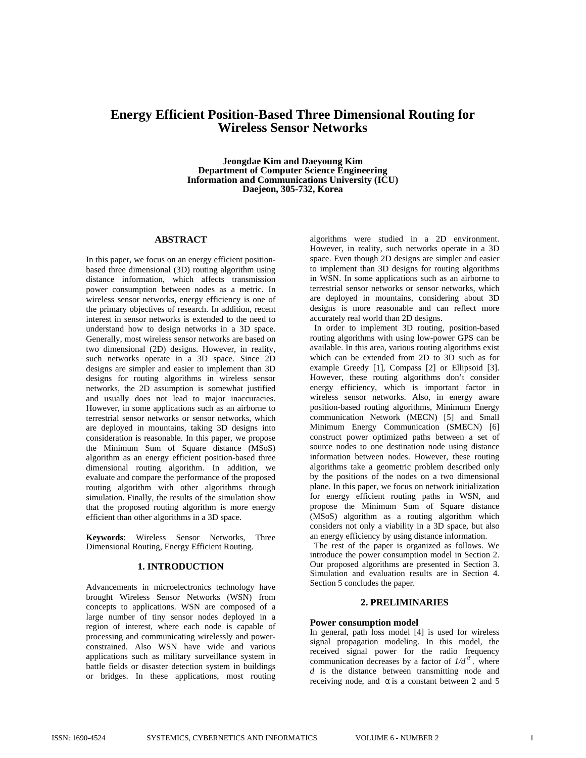# **Energy Efficient Position-Based Three Dimensional Routing for Wireless Sensor Networks**

**Jeongdae Kim and Daeyoung Kim Department of Computer Science Engineering Information and Communications University (ICU) Daejeon, 305-732, Korea** 

#### **ABSTRACT**

In this paper, we focus on an energy efficient positionbased three dimensional (3D) routing algorithm using distance information, which affects transmission power consumption between nodes as a metric. In wireless sensor networks, energy efficiency is one of the primary objectives of research. In addition, recent interest in sensor networks is extended to the need to understand how to design networks in a 3D space. Generally, most wireless sensor networks are based on two dimensional (2D) designs. However, in reality, such networks operate in a 3D space. Since 2D designs are simpler and easier to implement than 3D designs for routing algorithms in wireless sensor networks, the 2D assumption is somewhat justified and usually does not lead to major inaccuracies. However, in some applications such as an airborne to terrestrial sensor networks or sensor networks, which are deployed in mountains, taking 3D designs into consideration is reasonable. In this paper, we propose the Minimum Sum of Square distance (MSoS) algorithm as an energy efficient position-based three dimensional routing algorithm. In addition, we evaluate and compare the performance of the proposed routing algorithm with other algorithms through simulation. Finally, the results of the simulation show that the proposed routing algorithm is more energy efficient than other algorithms in a 3D space.

**Keywords**: Wireless Sensor Networks, Three Dimensional Routing, Energy Efficient Routing.

# **1. INTRODUCTION**

Advancements in microelectronics technology have brought Wireless Sensor Networks (WSN) from concepts to applications. WSN are composed of a large number of tiny sensor nodes deployed in a region of interest, where each node is capable of processing and communicating wirelessly and powerconstrained. Also WSN have wide and various applications such as military surveillance system in battle fields or disaster detection system in buildings or bridges. In these applications, most routing

algorithms were studied in a 2D environment. However, in reality, such networks operate in a 3D space. Even though 2D designs are simpler and easier to implement than 3D designs for routing algorithms in WSN. In some applications such as an airborne to terrestrial sensor networks or sensor networks, which are deployed in mountains, considering about 3D designs is more reasonable and can reflect more accurately real world than 2D designs.

In order to implement 3D routing, position-based routing algorithms with using low-power GPS can be available. In this area, various routing algorithms exist which can be extended from 2D to 3D such as for example Greedy [1], Compass [2] or Ellipsoid [3]. However, these routing algorithms don't consider energy efficiency, which is important factor in wireless sensor networks. Also, in energy aware position-based routing algorithms, Minimum Energy communication Network (MECN) [5] and Small Minimum Energy Communication (SMECN) [6] construct power optimized paths between a set of source nodes to one destination node using distance information between nodes. However, these routing algorithms take a geometric problem described only by the positions of the nodes on a two dimensional plane. In this paper, we focus on network initialization for energy efficient routing paths in WSN, and propose the Minimum Sum of Square distance (MSoS) algorithm as a routing algorithm which considers not only a viability in a 3D space, but also an energy efficiency by using distance information.

The rest of the paper is organized as follows. We introduce the power consumption model in Section 2. Our proposed algorithms are presented in Section 3. Simulation and evaluation results are in Section 4. Section 5 concludes the paper.

# **2. PRELIMINARIES**

#### **Power consumption model**

In general, path loss model [4] is used for wireless signal propagation modeling. In this model, the received signal power for the radio frequency communication decreases by a factor of  $1/d<sup>a</sup>$ , where *d* is the distance between transmitting node and receiving node, and  $\alpha$  is a constant between 2 and 5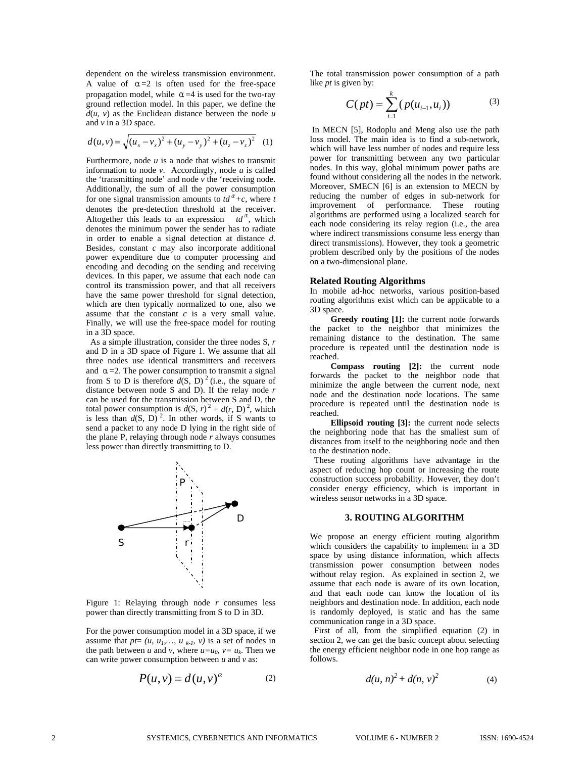dependent on the wireless transmission environment. A value of  $\alpha = 2$  is often used for the free-space propagation model, while  $\alpha = 4$  is used for the two-ray ground reflection model. In this paper, we define the  $d(u, v)$  as the Euclidean distance between the node  $u$ and *v* in a 3D space*.*

$$
d(u, v) = \sqrt{(u_x - v_x)^2 + (u_y - v_y)^2 + (u_z - v_z)^2}
$$
 (1)

Furthermore, node *u* is a node that wishes to transmit information to node  $v$ . Accordingly, node  $u$  is called the 'transmitting node' and node *v* the 'receiving node. Additionally, the sum of all the power consumption for one signal transmission amounts to  $td^{\alpha}$ +c, where *t* denotes the pre-detection threshold at the receiver. Altogether this leads to an expression  $td^{\alpha}$ , which denotes the minimum power the sender has to radiate in order to enable a signal detection at distance *d*. Besides, constant *c* may also incorporate additional power expenditure due to computer processing and encoding and decoding on the sending and receiving devices. In this paper, we assume that each node can control its transmission power, and that all receivers have the same power threshold for signal detection, which are then typically normalized to one, also we assume that the constant *c* is a very small value. Finally, we will use the free-space model for routing in a 3D space.

As a simple illustration, consider the three nodes S, *r* and D in a 3D space of Figure 1. We assume that all three nodes use identical transmitters and receivers and  $\alpha = 2$ . The power consumption to transmit a signal from S to D is therefore  $d(S, D)^2$  (i.e., the square of distance between node S and D). If the relay node *r* can be used for the transmission between S and D, the total power consumption is  $d(S, r)^2 + d(r, D)^2$ , which is less than  $d(S, D)^2$ . In other words, if S wants to send a packet to any node D lying in the right side of the plane P, relaying through node *r* always consumes less power than directly transmitting to D.



Figure 1: Relaying through node *r* consumes less power than directly transmitting from S to D in 3D.

For the power consumption model in a 3D space, if we assume that  $pt=(u, u_1,..., u_{k-l}, v)$  is a set of nodes in the path between *u* and *v*, where  $u=u_0$ ,  $v=u_k$ . Then we can write power consumption between *u* and *v* as:

$$
P(u, v) = d(u, v)^{\alpha} \tag{2}
$$

The total transmission power consumption of a path like *pt* is given by:

$$
C(pt) = \sum_{i=1}^{k} (p(u_{i-1}, u_i))
$$
 (3)

 In MECN [5], Rodoplu and Meng also use the path loss model. The main idea is to find a sub-network, which will have less number of nodes and require less power for transmitting between any two particular nodes. In this way, global minimum power paths are found without considering all the nodes in the network. Moreover, SMECN [6] is an extension to MECN by reducing the number of edges in sub-network for improvement of performance. These routing algorithms are performed using a localized search for each node considering its relay region (i.e., the area where indirect transmissions consume less energy than direct transmissions). However, they took a geometric problem described only by the positions of the nodes on a two-dimensional plane.

#### **Related Routing Algorithms**

In mobile ad-hoc networks, various position-based routing algorithms exist which can be applicable to a 3D space.

**Greedy routing [1]:** the current node forwards the packet to the neighbor that minimizes the remaining distance to the destination. The same procedure is repeated until the destination node is reached.

**Compass routing [2]:** the current node forwards the packet to the neighbor node that minimize the angle between the current node, next node and the destination node locations. The same procedure is repeated until the destination node is reached.

**Ellipsoid routing [3]:** the current node selects the neighboring node that has the smallest sum of distances from itself to the neighboring node and then to the destination node.

These routing algorithms have advantage in the aspect of reducing hop count or increasing the route construction success probability. However, they don't consider energy efficiency, which is important in wireless sensor networks in a 3D space.

# **3. ROUTING ALGORITHM**

We propose an energy efficient routing algorithm which considers the capability to implement in a 3D space by using distance information, which affects transmission power consumption between nodes without relay region. As explained in section 2, we assume that each node is aware of its own location, and that each node can know the location of its neighbors and destination node. In addition, each node is randomly deployed, is static and has the same communication range in a 3D space.

First of all, from the simplified equation (2) in section 2, we can get the basic concept about selecting the energy efficient neighbor node in one hop range as follows.

$$
d(u, n)^2 + d(n, v)^2 \tag{4}
$$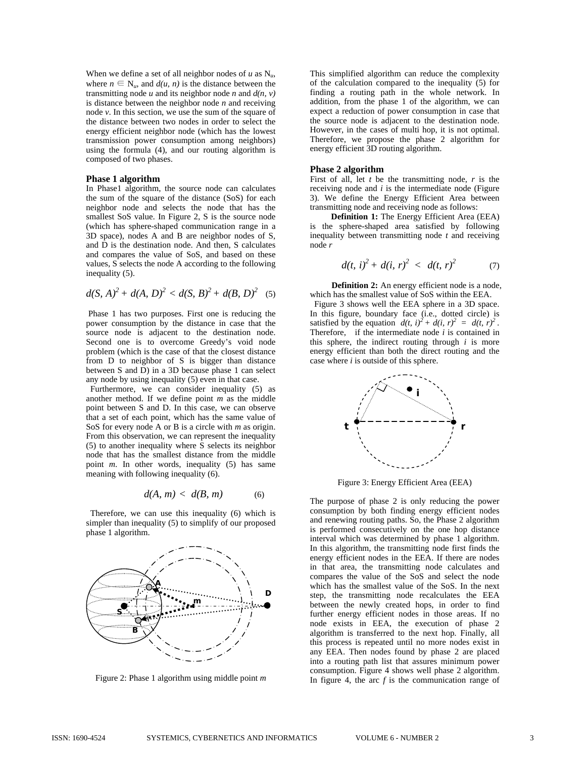When we define a set of all neighbor nodes of *u* as N*u*, where  $n \in N_u$ , and  $d(u, n)$  is the distance between the transmitting node  $u$  and its neighbor node  $n$  and  $d(n, v)$ is distance between the neighbor node *n* and receiving node  $v$ . In this section, we use the sum of the square of the distance between two nodes in order to select the energy efficient neighbor node (which has the lowest transmission power consumption among neighbors) using the formula (4), and our routing algorithm is composed of two phases.

### **Phase 1 algorithm**

In Phase1 algorithm, the source node can calculates the sum of the square of the distance (SoS) for each neighbor node and selects the node that has the smallest SoS value. In Figure 2, S is the source node (which has sphere-shaped communication range in a 3D space), nodes A and B are neighbor nodes of S, and D is the destination node. And then, S calculates and compares the value of SoS, and based on these values, S selects the node A according to the following inequality (5).

$$
d(S, A)^2 + d(A, D)^2 < d(S, B)^2 + d(B, D)^2
$$
 (5)

 Phase 1 has two purposes. First one is reducing the power consumption by the distance in case that the source node is adjacent to the destination node. Second one is to overcome Greedy's void node problem (which is the case of that the closest distance from D to neighbor of S is bigger than distance between S and D) in a 3D because phase 1 can select any node by using inequality (5) even in that case.

Furthermore, we can consider inequality (5) as another method. If we define point *m* as the middle point between S and D. In this case, we can observe that a set of each point, which has the same value of SoS for every node A or B is a circle with *m* as origin. From this observation, we can represent the inequality (5) to another inequality where  $\overline{S}$  selects its neighbor node that has the smallest distance from the middle point *m*. In other words, inequality (5) has same meaning with following inequality (6).

$$
d(A, m) < d(B, m) \tag{6}
$$

Therefore, we can use this inequality (6) which is simpler than inequality (5) to simplify of our proposed phase 1 algorithm.



Figure 2: Phase 1 algorithm using middle point *m* 

This simplified algorithm can reduce the complexity of the calculation compared to the inequality (5) for finding a routing path in the whole network. In addition, from the phase 1 of the algorithm, we can expect a reduction of power consumption in case that the source node is adjacent to the destination node. However, in the cases of multi hop, it is not optimal. Therefore, we propose the phase 2 algorithm for energy efficient 3D routing algorithm.

# **Phase 2 algorithm**

First of all, let *t* be the transmitting node, *r* is the receiving node and *i* is the intermediate node (Figure 3). We define the Energy Efficient Area between transmitting node and receiving node as follows:

**Definition 1:** The Energy Efficient Area (EEA) is the sphere-shaped area satisfied by following inequality between transmitting node *t* and receiving node *r*

$$
d(t, i)^2 + d(i, r)^2 < d(t, r)^2 \tag{7}
$$

**Definition 2:** An energy efficient node is a node, which has the smallest value of SoS within the EEA.

Figure 3 shows well the EEA sphere in a 3D space. In this figure, boundary face (i.e., dotted circle) is satisfied by the equation  $d(t, i)^2 + d(i, r)^2 = d(t, r)^2$ . Therefore, if the intermediate node *i* is contained in this sphere, the indirect routing through *i* is more energy efficient than both the direct routing and the case where *i* is outside of this sphere.



Figure 3: Energy Efficient Area (EEA)

The purpose of phase 2 is only reducing the power consumption by both finding energy efficient nodes and renewing routing paths. So, the Phase 2 algorithm is performed consecutively on the one hop distance interval which was determined by phase 1 algorithm. In this algorithm, the transmitting node first finds the energy efficient nodes in the EEA. If there are nodes in that area, the transmitting node calculates and compares the value of the SoS and select the node which has the smallest value of the SoS. In the next step, the transmitting node recalculates the EEA between the newly created hops, in order to find further energy efficient nodes in those areas. If no node exists in EEA, the execution of phase 2 algorithm is transferred to the next hop. Finally, all this process is repeated until no more nodes exist in any EEA. Then nodes found by phase 2 are placed into a routing path list that assures minimum power consumption. Figure 4 shows well phase 2 algorithm. In figure 4, the arc *f* is the communication range of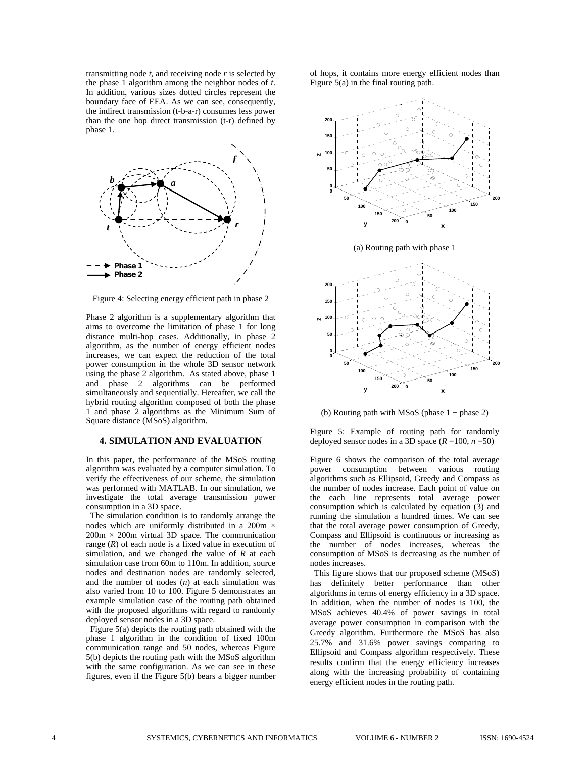transmitting node *t,* and receiving node *r* is selected by the phase 1 algorithm among the neighbor nodes of *t*. In addition, various sizes dotted circles represent the boundary face of EEA. As we can see, consequently, the indirect transmission (t-b-a-r) consumes less power than the one hop direct transmission (t-r) defined by phase 1.



Figure 4: Selecting energy efficient path in phase 2

Phase 2 algorithm is a supplementary algorithm that aims to overcome the limitation of phase 1 for long distance multi-hop cases. Additionally, in phase 2 algorithm, as the number of energy efficient nodes increases, we can expect the reduction of the total power consumption in the whole 3D sensor network using the phase 2 algorithm. As stated above, phase 1 and phase 2 algorithms can be performed simultaneously and sequentially. Hereafter, we call the hybrid routing algorithm composed of both the phase 1 and phase 2 algorithms as the Minimum Sum of Square distance (MSoS) algorithm.

### **4. SIMULATION AND EVALUATION**

In this paper, the performance of the MSoS routing algorithm was evaluated by a computer simulation. To verify the effectiveness of our scheme, the simulation was performed with MATLAB. In our simulation, we investigate the total average transmission power consumption in a 3D space.

The simulation condition is to randomly arrange the nodes which are uniformly distributed in a 200m  $\times$  $200m \times 200m$  virtual 3D space. The communication range  $(R)$  of each node is a fixed value in execution of simulation, and we changed the value of *R* at each simulation case from 60m to 110m. In addition, source nodes and destination nodes are randomly selected, and the number of nodes (*n*) at each simulation was also varied from 10 to 100. Figure 5 demonstrates an example simulation case of the routing path obtained with the proposed algorithms with regard to randomly deployed sensor nodes in a 3D space.

Figure 5(a) depicts the routing path obtained with the phase 1 algorithm in the condition of fixed 100m communication range and 50 nodes, whereas Figure 5(b) depicts the routing path with the MSoS algorithm with the same configuration. As we can see in these figures, even if the Figure 5(b) bears a bigger number

of hops, it contains more energy efficient nodes than Figure 5(a) in the final routing path.



(a) Routing path with phase 1



(b) Routing path with MSoS (phase  $1 +$  phase 2)

Figure 5: Example of routing path for randomly deployed sensor nodes in a 3D space  $(R = 100, n = 50)$ 

Figure 6 shows the comparison of the total average power consumption between various routing algorithms such as Ellipsoid, Greedy and Compass as the number of nodes increase. Each point of value on the each line represents total average power consumption which is calculated by equation (3) and running the simulation a hundred times. We can see that the total average power consumption of Greedy, Compass and Ellipsoid is continuous or increasing as the number of nodes increases, whereas the consumption of MSoS is decreasing as the number of nodes increases.

This figure shows that our proposed scheme (MSoS) has definitely better performance than other algorithms in terms of energy efficiency in a 3D space. In addition, when the number of nodes is 100, the MSoS achieves 40.4% of power savings in total average power consumption in comparison with the Greedy algorithm. Furthermore the MSoS has also 25.7% and 31.6% power savings comparing to Ellipsoid and Compass algorithm respectively. These results confirm that the energy efficiency increases along with the increasing probability of containing energy efficient nodes in the routing path.